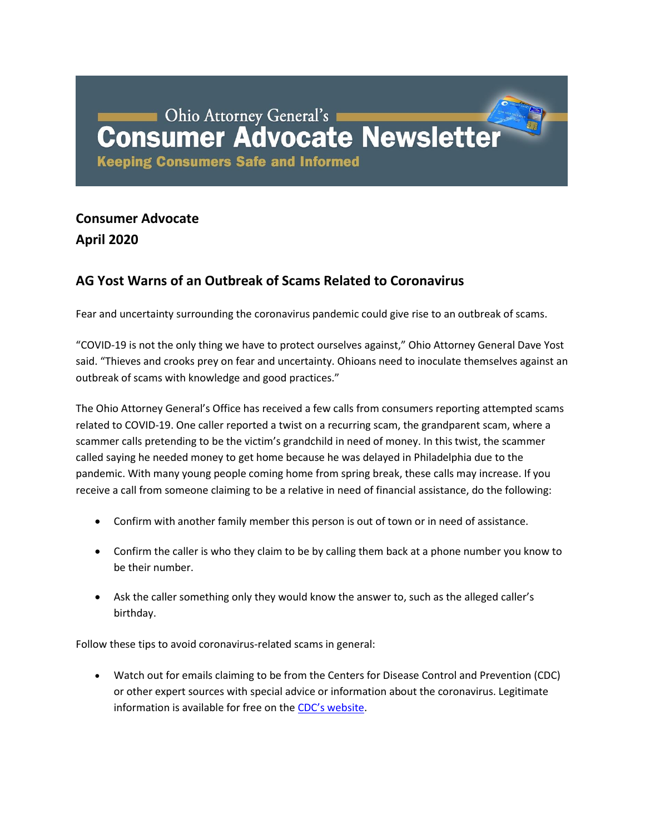# **Consumer Advocate April 2020**

## **AG Yost Warns of an Outbreak of Scams Related to Coronavirus**

Fear and uncertainty surrounding the coronavirus pandemic could give rise to an outbreak of scams.

"COVID-19 is not the only thing we have to protect ourselves against," Ohio Attorney General Dave Yost said. "Thieves and crooks prey on fear and uncertainty. Ohioans need to inoculate themselves against an outbreak of scams with knowledge and good practices."

The Ohio Attorney General's Office has received a few calls from consumers reporting attempted scams related to COVID-19. One caller reported a twist on a recurring scam, the grandparent scam, where a scammer calls pretending to be the victim's grandchild in need of money. In this twist, the scammer called saying he needed money to get home because he was delayed in Philadelphia due to the pandemic. With many young people coming home from spring break, these calls may increase. If you receive a call from someone claiming to be a relative in need of financial assistance, do the following:

- Confirm with another family member this person is out of town or in need of assistance.
- Confirm the caller is who they claim to be by calling them back at a phone number you know to be their number.
- Ask the caller something only they would know the answer to, such as the alleged caller's birthday.

Follow these tips to avoid coronavirus-related scams in general:

• Watch out for emails claiming to be from the Centers for Disease Control and Prevention (CDC) or other expert sources with special advice or information about the coronavirus. Legitimate information is available for free on the [CDC's website](https://lnks.gd/l/eyJhbGciOiJIUzI1NiJ9.eyJidWxsZXRpbl9saW5rX2lkIjoxMDEsInVyaSI6ImJwMjpjbGljayIsImJ1bGxldGluX2lkIjoiMjAyMDAzMTkuMTg5ODMwNzEiLCJ1cmwiOiJodHRwczovL3d3dy5jZGMuZ292L2Nvcm9uYXZpcnVzLzIwMTktbmNvdi9pbmRleC5odG1sIn0.TPWp1VnhTQOCRVesW005LHfhNPrIAHlCEzQ4IJp1OK8/br/76339962376-l).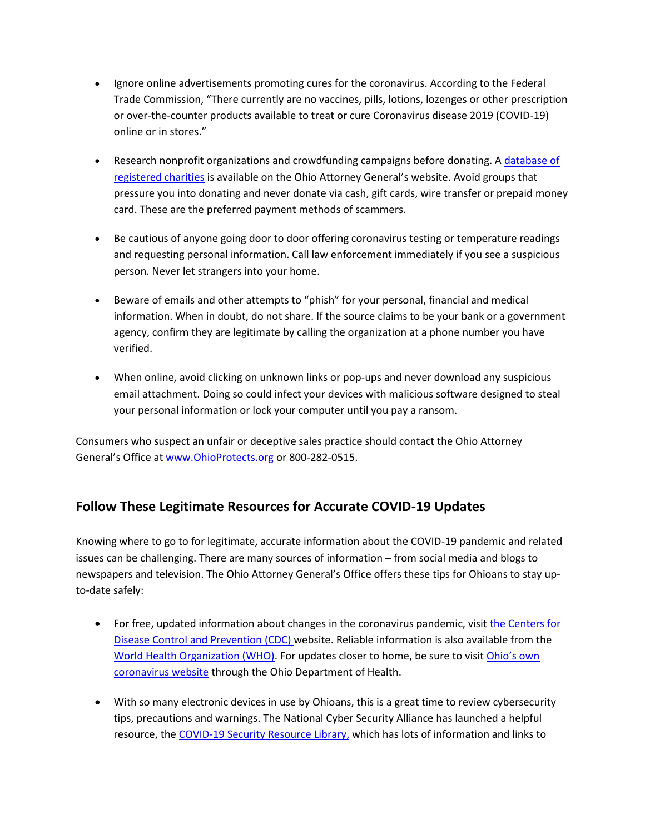- Ignore online advertisements promoting cures for the coronavirus. According to the Federal Trade Commission, "There currently are no vaccines, pills, lotions, lozenges or other prescription or over-the-counter products available to treat or cure Coronavirus disease 2019 (COVID-19) online or in stores."
- Research nonprofit organizations and crowdfunding campaigns before donating. A database of [registered charities](https://lnks.gd/l/eyJhbGciOiJIUzI1NiJ9.eyJidWxsZXRpbl9saW5rX2lkIjoxMDIsInVyaSI6ImJwMjpjbGljayIsImJ1bGxldGluX2lkIjoiMjAyMDAzMTkuMTg5ODMwNzEiLCJ1cmwiOiJodHRwczovL2NoYXJpdGFibGVyZWdpc3RyYXRpb24ub2hpb2F0dG9ybmV5Z2VuZXJhbC5nb3YvQ2hhcml0aWVzL1Jlc2VhcmNoLUNoYXJpdGllcy5hc3B4In0.1EKYFR-0H7i46yKm1YlrBnbjHbYjzlPTY1zlufg8ieo/br/76339962376-l) is available on the Ohio Attorney General's website. Avoid groups that pressure you into donating and never donate via cash, gift cards, wire transfer or prepaid money card. These are the preferred payment methods of scammers.
- Be cautious of anyone going door to door offering coronavirus testing or temperature readings and requesting personal information. Call law enforcement immediately if you see a suspicious person. Never let strangers into your home.
- Beware of emails and other attempts to "phish" for your personal, financial and medical information. When in doubt, do not share. If the source claims to be your bank or a government agency, confirm they are legitimate by calling the organization at a phone number you have verified.
- When online, avoid clicking on unknown links or pop-ups and never download any suspicious email attachment. Doing so could infect your devices with malicious software designed to steal your personal information or lock your computer until you pay a ransom.

Consumers who suspect an unfair or deceptive sales practice should contact the Ohio Attorney General's Office at [www.OhioProtects.org](https://www.ohioprotects.org/) or 800-282-0515.

## **Follow These Legitimate Resources for Accurate COVID-19 Updates**

Knowing where to go to for legitimate, accurate information about the COVID-19 pandemic and related issues can be challenging. There are many sources of information – from social media and blogs to newspapers and television. The Ohio Attorney General's Office offers these tips for Ohioans to stay upto-date safely:

- For free, updated information about changes in the coronavirus pandemic, visit [the Centers for](https://www.cdc.gov/coronavirus/2019-ncov/index.html)  [Disease Control and Prevention](https://www.cdc.gov/coronavirus/2019-ncov/index.html) (CDC) website. Reliable information is also available from the [World Health Organization \(WHO\).](https://www.who.int/emergencies/diseases/novel-coronavirus-2019) For updates closer to home, be sure to visit [Ohio's own](https://coronavirus.ohio.gov/)  [coronavirus website](https://coronavirus.ohio.gov/) through the Ohio Department of Health.
- With so many electronic devices in use by Ohioans, this is a great time to review cybersecurity tips, precautions and warnings. The [National Cyber Security Alliance](https://staysafeonline.org/covid-19-security-resource-library/) has launched a helpful resource, the [COVID-19 Security Resource Library,](https://staysafeonline.org/covid-19-security-resource-library/) which has lots of information and links to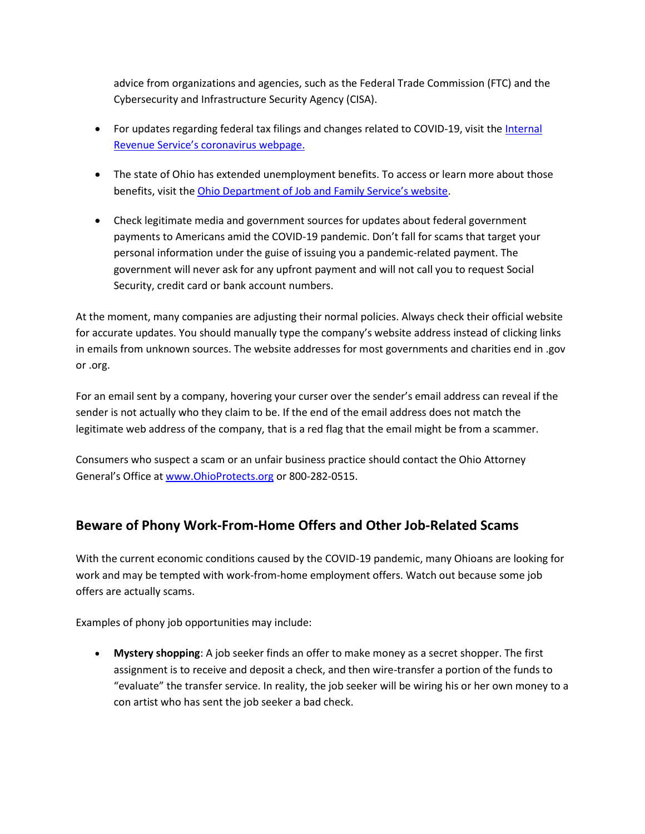advice from organizations and agencies, such as the Federal Trade Commission (FTC) and the Cybersecurity and Infrastructure Security Agency (CISA).

- For updates regarding federal tax filings and changes related to COVID-19, visit the Internal [Revenue Service's coronavirus webpage.](https://www.irs.gov/coronavirus)
- The state of Ohio has extended unemployment benefits. To access or learn more about those benefits, visit the [Ohio Department of Job and Family Service's website](https://unemployment.ohio.gov/).
- Check legitimate media and government sources for updates about federal government payments to Americans amid the COVID-19 pandemic. Don't fall for scams that target your personal information under the guise of issuing you a pandemic-related payment. The government will never ask for any upfront payment and will not call you to request Social Security, credit card or bank account numbers.

At the moment, many companies are adjusting their normal policies. Always check their official website for accurate updates. You should manually type the company's website address instead of clicking links in emails from unknown sources. The website addresses for most governments and charities end in .gov or .org.

For an email sent by a company, hovering your curser over the sender's email address can reveal if the sender is not actually who they claim to be. If the end of the email address does not match the legitimate web address of the company, that is a red flag that the email might be from a scammer.

Consumers who suspect a scam or an unfair business practice should contact the Ohio Attorney General's Office at [www.OhioProtects.org](https://www.ohioprotects.org/) or 800-282-0515.

## **Beware of Phony Work-From-Home Offers and Other Job-Related Scams**

With the current economic conditions caused by the COVID-19 pandemic, many Ohioans are looking for work and may be tempted with work-from-home employment offers. Watch out because some job offers are actually scams.

Examples of phony job opportunities may include:

• **Mystery shopping**: A job seeker finds an offer to make money as a secret shopper. The first assignment is to receive and deposit a check, and then wire-transfer a portion of the funds to "evaluate" the transfer service. In reality, the job seeker will be wiring his or her own money to a con artist who has sent the job seeker a bad check.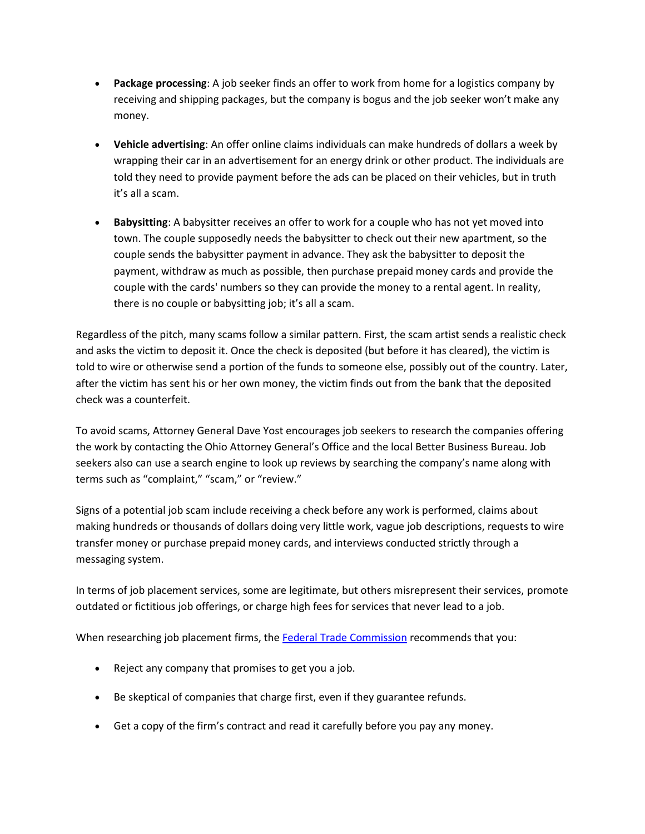- **Package processing**: A job seeker finds an offer to work from home for a logistics company by receiving and shipping packages, but the company is bogus and the job seeker won't make any money.
- **Vehicle advertising**: An offer online claims individuals can make hundreds of dollars a week by wrapping their car in an advertisement for an energy drink or other product. The individuals are told they need to provide payment before the ads can be placed on their vehicles, but in truth it's all a scam.
- **Babysitting**: A babysitter receives an offer to work for a couple who has not yet moved into town. The couple supposedly needs the babysitter to check out their new apartment, so the couple sends the babysitter payment in advance. They ask the babysitter to deposit the payment, withdraw as much as possible, then purchase prepaid money cards and provide the couple with the cards' numbers so they can provide the money to a rental agent. In reality, there is no couple or babysitting job; it's all a scam.

Regardless of the pitch, many scams follow a similar pattern. First, the scam artist sends a realistic check and asks the victim to deposit it. Once the check is deposited (but before it has cleared), the victim is told to wire or otherwise send a portion of the funds to someone else, possibly out of the country. Later, after the victim has sent his or her own money, the victim finds out from the bank that the deposited check was a counterfeit.

To avoid scams, Attorney General Dave Yost encourages job seekers to research the companies offering the work by contacting the Ohio Attorney General's Office and the local Better Business Bureau. Job seekers also can use a search engine to look up reviews by searching the company's name along with terms such as "complaint," "scam," or "review."

Signs of a potential job scam include receiving a check before any work is performed, claims about making hundreds or thousands of dollars doing very little work, vague job descriptions, requests to wire transfer money or purchase prepaid money cards, and interviews conducted strictly through a messaging system.

In terms of job placement services, some are legitimate, but others misrepresent their services, promote outdated or fictitious job offerings, or charge high fees for services that never lead to a job.

When researching job placement firms, the [Federal Trade Commission](http://www.ftc.gov/) recommends that you:

- Reject any company that promises to get you a job.
- Be skeptical of companies that charge first, even if they guarantee refunds.
- Get a copy of the firm's contract and read it carefully before you pay any money.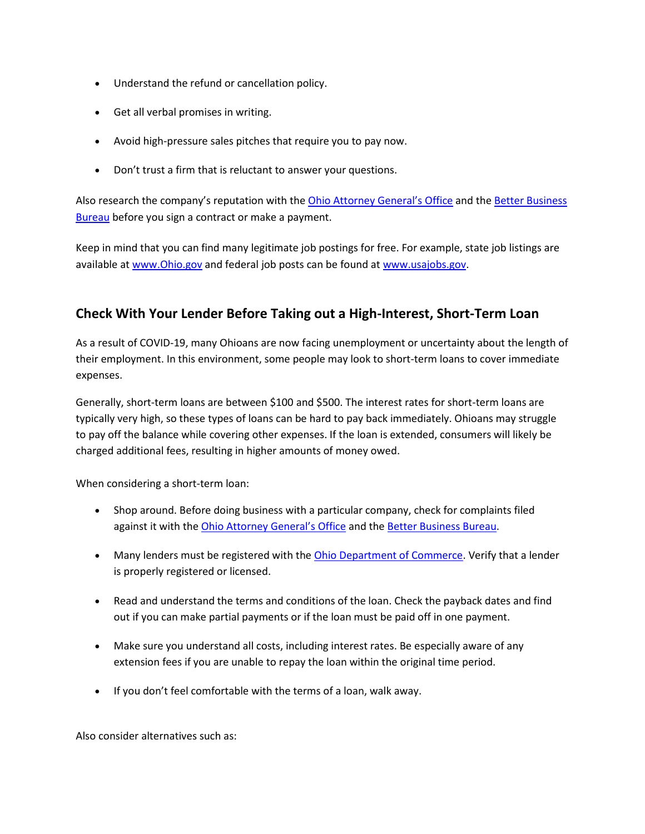- Understand the refund or cancellation policy.
- Get all verbal promises in writing.
- Avoid high-pressure sales pitches that require you to pay now.
- Don't trust a firm that is reluctant to answer your questions.

Also research the company's reputation with the Ohio Atto[rney General's Office](http://www.ohioattorneygeneral.gov/) and the Better Business [Bureau](http://www.bbb.org/) before you sign a contract or make a payment.

Keep in mind that you can find many legitimate job postings for free. For example, state job listings are available at [www.Ohio.gov](http://www.ohio.gov/) and federal job posts can be found at [www.usajobs.gov.](http://www.usajobs.gov/)

### **Check With Your Lender Before Taking out a High-Interest, Short-Term Loan**

As a result of COVID-19, many Ohioans are now facing unemployment or uncertainty about the length of their employment. In this environment, some people may look to short-term loans to cover immediate expenses.

Generally, short-term loans are between \$100 and \$500. The interest rates for short-term loans are typically very high, so these types of loans can be hard to pay back immediately. Ohioans may struggle to pay off the balance while covering other expenses. If the loan is extended, consumers will likely be charged additional fees, resulting in higher amounts of money owed.

When considering a short-term loan:

- Shop around. Before doing business with a particular company, check for complaints filed against it with the [Ohio Attorney General's Office](http://www.ohioattorneygeneral.gov/) and the [Better Business Bureau.](http://www.bbb.org/)
- Many lenders must be registered with the [Ohio Department of Commerce.](https://www.com.ohio.gov/) Verify that a lender is properly registered or licensed.
- Read and understand the terms and conditions of the loan. Check the payback dates and find out if you can make partial payments or if the loan must be paid off in one payment.
- Make sure you understand all costs, including interest rates. Be especially aware of any extension fees if you are unable to repay the loan within the original time period.
- If you don't feel comfortable with the terms of a loan, walk away.

Also consider alternatives such as: